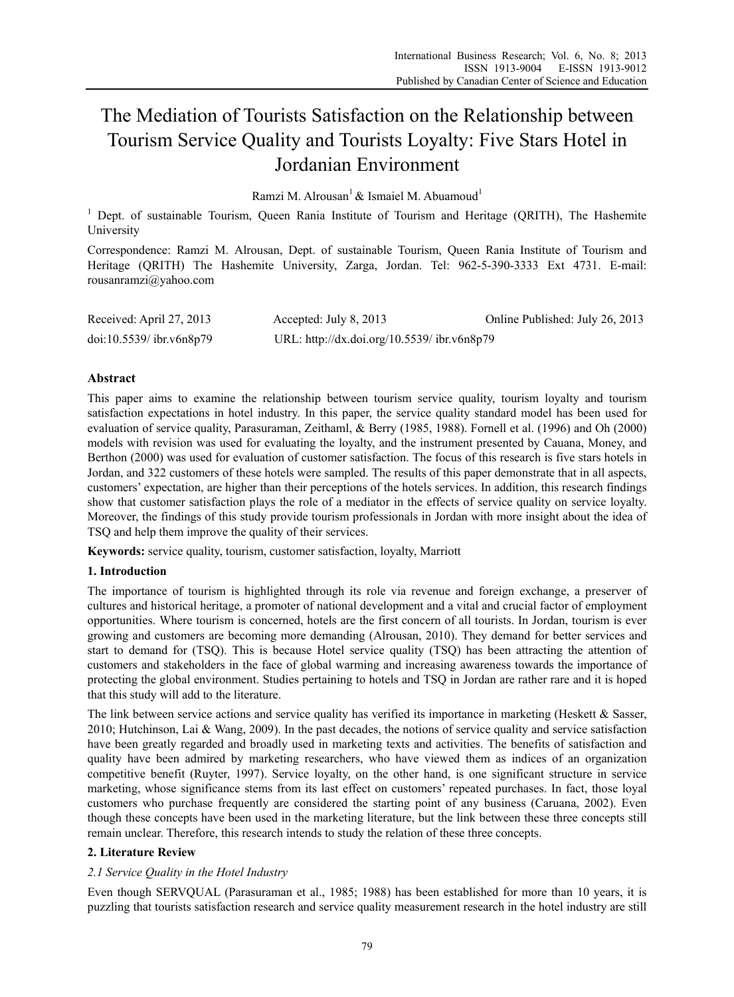# The Mediation of Tourists Satisfaction on the Relationship between Tourism Service Quality and Tourists Loyalty: Five Stars Hotel in Jordanian Environment

Ramzi M. Alrousan<sup>1</sup> & Ismaiel M. Abuamoud<sup>1</sup>

<sup>1</sup> Dept. of sustainable Tourism, Queen Rania Institute of Tourism and Heritage (QRITH), The Hashemite University

Correspondence: Ramzi M. Alrousan, Dept. of sustainable Tourism, Queen Rania Institute of Tourism and Heritage (QRITH) The Hashemite University, Zarga, Jordan. Tel: 962-5-390-3333 Ext 4731. E-mail: rousanramzi@yahoo.com

| Received: April 27, 2013   | Accepted: July 8, 2013                      | Online Published: July 26, 2013 |
|----------------------------|---------------------------------------------|---------------------------------|
| $doi:10.5539/$ ibr.v6n8p79 | URL: http://dx.doi.org/10.5539/ ibr.v6n8p79 |                                 |

# **Abstract**

This paper aims to examine the relationship between tourism service quality, tourism loyalty and tourism satisfaction expectations in hotel industry. In this paper, the service quality standard model has been used for evaluation of service quality, Parasuraman, Zeithaml, & Berry (1985, 1988). Fornell et al. (1996) and Oh (2000) models with revision was used for evaluating the loyalty, and the instrument presented by Cauana, Money, and Berthon (2000) was used for evaluation of customer satisfaction. The focus of this research is five stars hotels in Jordan, and 322 customers of these hotels were sampled. The results of this paper demonstrate that in all aspects, customers' expectation, are higher than their perceptions of the hotels services. In addition, this research findings show that customer satisfaction plays the role of a mediator in the effects of service quality on service loyalty. Moreover, the findings of this study provide tourism professionals in Jordan with more insight about the idea of TSQ and help them improve the quality of their services.

**Keywords:** service quality, tourism, customer satisfaction, loyalty, Marriott

# **1. Introduction**

The importance of tourism is highlighted through its role via revenue and foreign exchange, a preserver of cultures and historical heritage, a promoter of national development and a vital and crucial factor of employment opportunities. Where tourism is concerned, hotels are the first concern of all tourists. In Jordan, tourism is ever growing and customers are becoming more demanding (Alrousan, 2010). They demand for better services and start to demand for (TSQ). This is because Hotel service quality (TSQ) has been attracting the attention of customers and stakeholders in the face of global warming and increasing awareness towards the importance of protecting the global environment. Studies pertaining to hotels and TSQ in Jordan are rather rare and it is hoped that this study will add to the literature.

The link between service actions and service quality has verified its importance in marketing (Heskett & Sasser, 2010; Hutchinson, Lai & Wang, 2009). In the past decades, the notions of service quality and service satisfaction have been greatly regarded and broadly used in marketing texts and activities. The benefits of satisfaction and quality have been admired by marketing researchers, who have viewed them as indices of an organization competitive benefit (Ruyter, 1997). Service loyalty, on the other hand, is one significant structure in service marketing, whose significance stems from its last effect on customers' repeated purchases. In fact, those loyal customers who purchase frequently are considered the starting point of any business (Caruana, 2002). Even though these concepts have been used in the marketing literature, but the link between these three concepts still remain unclear. Therefore, this research intends to study the relation of these three concepts.

# **2. Literature Review**

# *2.1 Service Quality in the Hotel Industry*

Even though SERVQUAL (Parasuraman et al., 1985; 1988) has been established for more than 10 years, it is puzzling that tourists satisfaction research and service quality measurement research in the hotel industry are still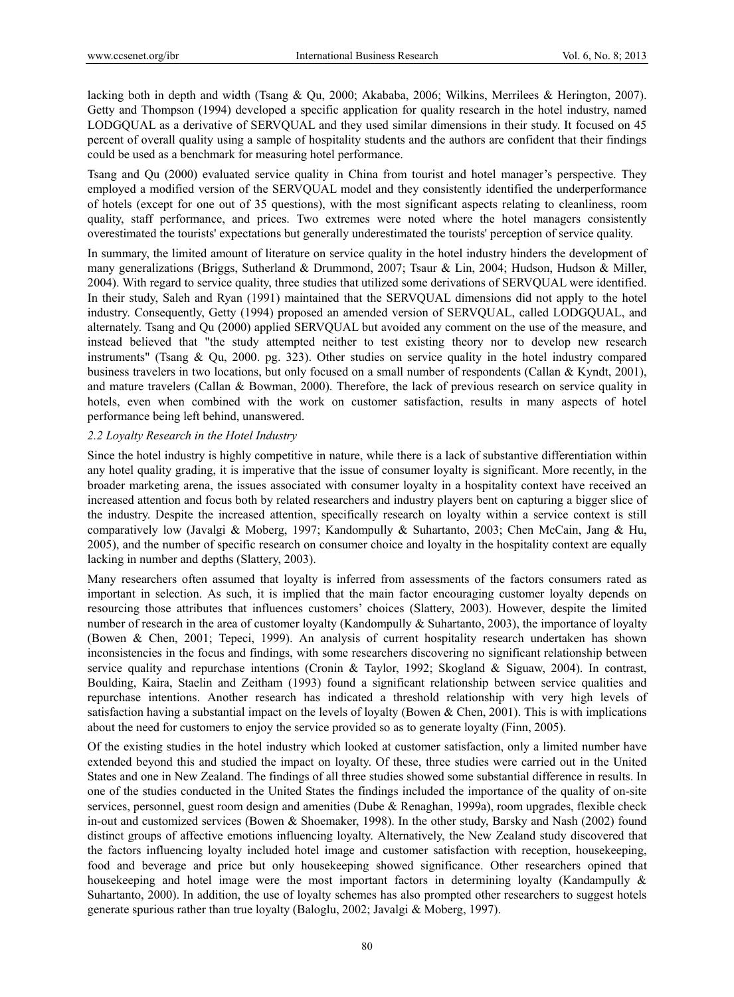lacking both in depth and width (Tsang & Qu, 2000; Akababa, 2006; Wilkins, Merrilees & Herington, 2007). Getty and Thompson (1994) developed a specific application for quality research in the hotel industry, named LODGQUAL as a derivative of SERVQUAL and they used similar dimensions in their study. It focused on 45 percent of overall quality using a sample of hospitality students and the authors are confident that their findings could be used as a benchmark for measuring hotel performance.

Tsang and Qu (2000) evaluated service quality in China from tourist and hotel manager's perspective. They employed a modified version of the SERVQUAL model and they consistently identified the underperformance of hotels (except for one out of 35 questions), with the most significant aspects relating to cleanliness, room quality, staff performance, and prices. Two extremes were noted where the hotel managers consistently overestimated the tourists' expectations but generally underestimated the tourists' perception of service quality.

In summary, the limited amount of literature on service quality in the hotel industry hinders the development of many generalizations (Briggs, Sutherland & Drummond, 2007; Tsaur & Lin, 2004; Hudson, Hudson & Miller, 2004). With regard to service quality, three studies that utilized some derivations of SERVQUAL were identified. In their study, Saleh and Ryan (1991) maintained that the SERVQUAL dimensions did not apply to the hotel industry. Consequently, Getty (1994) proposed an amended version of SERVQUAL, called LODGQUAL, and alternately. Tsang and Qu (2000) applied SERVQUAL but avoided any comment on the use of the measure, and instead believed that "the study attempted neither to test existing theory nor to develop new research instruments" (Tsang & Qu, 2000. pg. 323). Other studies on service quality in the hotel industry compared business travelers in two locations, but only focused on a small number of respondents (Callan & Kyndt, 2001), and mature travelers (Callan & Bowman, 2000). Therefore, the lack of previous research on service quality in hotels, even when combined with the work on customer satisfaction, results in many aspects of hotel performance being left behind, unanswered.

## *2.2 Loyalty Research in the Hotel Industry*

Since the hotel industry is highly competitive in nature, while there is a lack of substantive differentiation within any hotel quality grading, it is imperative that the issue of consumer loyalty is significant. More recently, in the broader marketing arena, the issues associated with consumer loyalty in a hospitality context have received an increased attention and focus both by related researchers and industry players bent on capturing a bigger slice of the industry. Despite the increased attention, specifically research on loyalty within a service context is still comparatively low (Javalgi & Moberg, 1997; Kandompully & Suhartanto, 2003; Chen McCain, Jang & Hu, 2005), and the number of specific research on consumer choice and loyalty in the hospitality context are equally lacking in number and depths (Slattery, 2003).

Many researchers often assumed that loyalty is inferred from assessments of the factors consumers rated as important in selection. As such, it is implied that the main factor encouraging customer loyalty depends on resourcing those attributes that influences customers' choices (Slattery, 2003). However, despite the limited number of research in the area of customer loyalty (Kandompully & Suhartanto, 2003), the importance of loyalty (Bowen & Chen, 2001; Tepeci, 1999). An analysis of current hospitality research undertaken has shown inconsistencies in the focus and findings, with some researchers discovering no significant relationship between service quality and repurchase intentions (Cronin & Taylor, 1992; Skogland & Siguaw, 2004). In contrast, Boulding, Kaira, Staelin and Zeitham (1993) found a significant relationship between service qualities and repurchase intentions. Another research has indicated a threshold relationship with very high levels of satisfaction having a substantial impact on the levels of loyalty (Bowen & Chen, 2001). This is with implications about the need for customers to enjoy the service provided so as to generate loyalty (Finn, 2005).

Of the existing studies in the hotel industry which looked at customer satisfaction, only a limited number have extended beyond this and studied the impact on loyalty. Of these, three studies were carried out in the United States and one in New Zealand. The findings of all three studies showed some substantial difference in results. In one of the studies conducted in the United States the findings included the importance of the quality of on-site services, personnel, guest room design and amenities (Dube & Renaghan, 1999a), room upgrades, flexible check in-out and customized services (Bowen & Shoemaker, 1998). In the other study, Barsky and Nash (2002) found distinct groups of affective emotions influencing loyalty. Alternatively, the New Zealand study discovered that the factors influencing loyalty included hotel image and customer satisfaction with reception, housekeeping, food and beverage and price but only housekeeping showed significance. Other researchers opined that housekeeping and hotel image were the most important factors in determining loyalty (Kandampully & Suhartanto, 2000). In addition, the use of loyalty schemes has also prompted other researchers to suggest hotels generate spurious rather than true loyalty (Baloglu, 2002; Javalgi & Moberg, 1997).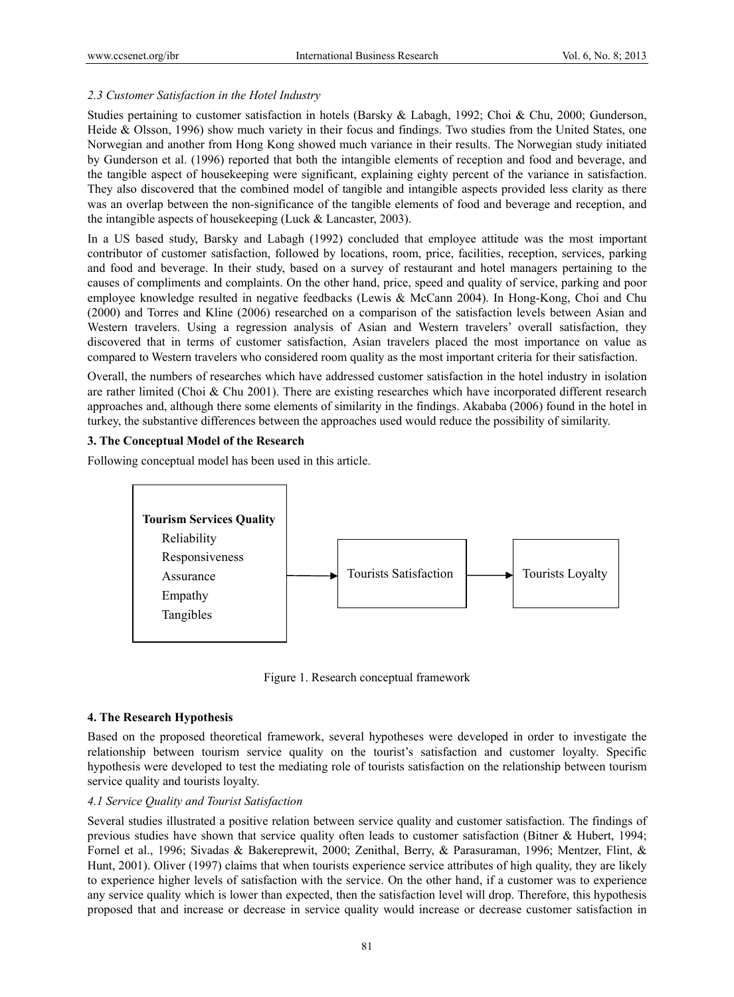# *2.3 Customer Satisfaction in the Hotel Industry*

Studies pertaining to customer satisfaction in hotels (Barsky & Labagh, 1992; Choi & Chu, 2000; Gunderson, Heide & Olsson, 1996) show much variety in their focus and findings. Two studies from the United States, one Norwegian and another from Hong Kong showed much variance in their results. The Norwegian study initiated by Gunderson et al. (1996) reported that both the intangible elements of reception and food and beverage, and the tangible aspect of housekeeping were significant, explaining eighty percent of the variance in satisfaction. They also discovered that the combined model of tangible and intangible aspects provided less clarity as there was an overlap between the non-significance of the tangible elements of food and beverage and reception, and the intangible aspects of housekeeping (Luck & Lancaster, 2003).

In a US based study, Barsky and Labagh (1992) concluded that employee attitude was the most important contributor of customer satisfaction, followed by locations, room, price, facilities, reception, services, parking and food and beverage. In their study, based on a survey of restaurant and hotel managers pertaining to the causes of compliments and complaints. On the other hand, price, speed and quality of service, parking and poor employee knowledge resulted in negative feedbacks (Lewis & McCann 2004). In Hong-Kong, Choi and Chu (2000) and Torres and Kline (2006) researched on a comparison of the satisfaction levels between Asian and Western travelers. Using a regression analysis of Asian and Western travelers' overall satisfaction, they discovered that in terms of customer satisfaction, Asian travelers placed the most importance on value as compared to Western travelers who considered room quality as the most important criteria for their satisfaction.

Overall, the numbers of researches which have addressed customer satisfaction in the hotel industry in isolation are rather limited (Choi & Chu 2001). There are existing researches which have incorporated different research approaches and, although there some elements of similarity in the findings. Akababa (2006) found in the hotel in turkey, the substantive differences between the approaches used would reduce the possibility of similarity.

# **3. The Conceptual Model of the Research**

Following conceptual model has been used in this article.



Figure 1. Research conceptual framework

## **4. The Research Hypothesis**

Based on the proposed theoretical framework, several hypotheses were developed in order to investigate the relationship between tourism service quality on the tourist's satisfaction and customer loyalty. Specific hypothesis were developed to test the mediating role of tourists satisfaction on the relationship between tourism service quality and tourists loyalty.

## *4.1 Service Quality and Tourist Satisfaction*

Several studies illustrated a positive relation between service quality and customer satisfaction. The findings of previous studies have shown that service quality often leads to customer satisfaction (Bitner & Hubert, 1994; Fornel et al., 1996; Sivadas & Bakereprewit, 2000; Zenithal, Berry, & Parasuraman, 1996; Mentzer, Flint, & Hunt, 2001). Oliver (1997) claims that when tourists experience service attributes of high quality, they are likely to experience higher levels of satisfaction with the service. On the other hand, if a customer was to experience any service quality which is lower than expected, then the satisfaction level will drop. Therefore, this hypothesis proposed that and increase or decrease in service quality would increase or decrease customer satisfaction in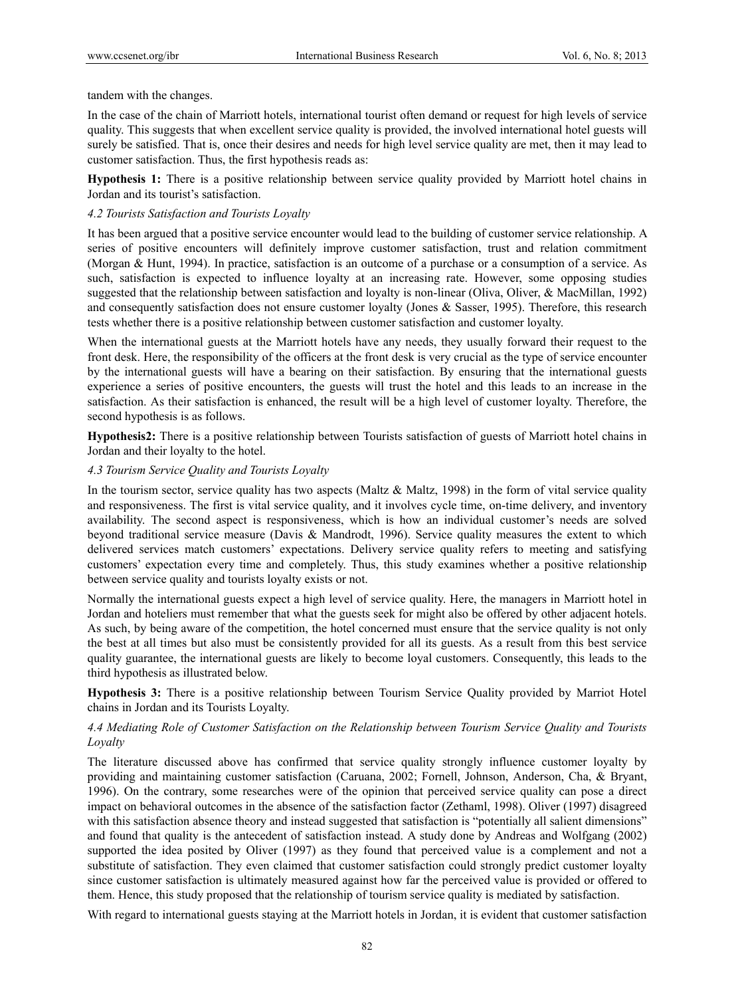tandem with the changes.

In the case of the chain of Marriott hotels, international tourist often demand or request for high levels of service quality. This suggests that when excellent service quality is provided, the involved international hotel guests will surely be satisfied. That is, once their desires and needs for high level service quality are met, then it may lead to customer satisfaction. Thus, the first hypothesis reads as:

**Hypothesis 1:** There is a positive relationship between service quality provided by Marriott hotel chains in Jordan and its tourist's satisfaction.

## *4.2 Tourists Satisfaction and Tourists Loyalty*

It has been argued that a positive service encounter would lead to the building of customer service relationship. A series of positive encounters will definitely improve customer satisfaction, trust and relation commitment (Morgan & Hunt, 1994). In practice, satisfaction is an outcome of a purchase or a consumption of a service. As such, satisfaction is expected to influence loyalty at an increasing rate. However, some opposing studies suggested that the relationship between satisfaction and loyalty is non-linear (Oliva, Oliver, & MacMillan, 1992) and consequently satisfaction does not ensure customer loyalty (Jones & Sasser, 1995). Therefore, this research tests whether there is a positive relationship between customer satisfaction and customer loyalty.

When the international guests at the Marriott hotels have any needs, they usually forward their request to the front desk. Here, the responsibility of the officers at the front desk is very crucial as the type of service encounter by the international guests will have a bearing on their satisfaction. By ensuring that the international guests experience a series of positive encounters, the guests will trust the hotel and this leads to an increase in the satisfaction. As their satisfaction is enhanced, the result will be a high level of customer loyalty. Therefore, the second hypothesis is as follows.

**Hypothesis2:** There is a positive relationship between Tourists satisfaction of guests of Marriott hotel chains in Jordan and their loyalty to the hotel.

## *4.3 Tourism Service Quality and Tourists Loyalty*

In the tourism sector, service quality has two aspects (Maltz  $\&$  Maltz, 1998) in the form of vital service quality and responsiveness. The first is vital service quality, and it involves cycle time, on-time delivery, and inventory availability. The second aspect is responsiveness, which is how an individual customer's needs are solved beyond traditional service measure (Davis & Mandrodt, 1996). Service quality measures the extent to which delivered services match customers' expectations. Delivery service quality refers to meeting and satisfying customers' expectation every time and completely. Thus, this study examines whether a positive relationship between service quality and tourists loyalty exists or not.

Normally the international guests expect a high level of service quality. Here, the managers in Marriott hotel in Jordan and hoteliers must remember that what the guests seek for might also be offered by other adjacent hotels. As such, by being aware of the competition, the hotel concerned must ensure that the service quality is not only the best at all times but also must be consistently provided for all its guests. As a result from this best service quality guarantee, the international guests are likely to become loyal customers. Consequently, this leads to the third hypothesis as illustrated below.

**Hypothesis 3:** There is a positive relationship between Tourism Service Quality provided by Marriot Hotel chains in Jordan and its Tourists Loyalty.

# *4.4 Mediating Role of Customer Satisfaction on the Relationship between Tourism Service Quality and Tourists Loyalty*

The literature discussed above has confirmed that service quality strongly influence customer loyalty by providing and maintaining customer satisfaction (Caruana, 2002; Fornell, Johnson, Anderson, Cha, & Bryant, 1996). On the contrary, some researches were of the opinion that perceived service quality can pose a direct impact on behavioral outcomes in the absence of the satisfaction factor (Zethaml, 1998). Oliver (1997) disagreed with this satisfaction absence theory and instead suggested that satisfaction is "potentially all salient dimensions" and found that quality is the antecedent of satisfaction instead. A study done by Andreas and Wolfgang (2002) supported the idea posited by Oliver (1997) as they found that perceived value is a complement and not a substitute of satisfaction. They even claimed that customer satisfaction could strongly predict customer loyalty since customer satisfaction is ultimately measured against how far the perceived value is provided or offered to them. Hence, this study proposed that the relationship of tourism service quality is mediated by satisfaction.

With regard to international guests staying at the Marriott hotels in Jordan, it is evident that customer satisfaction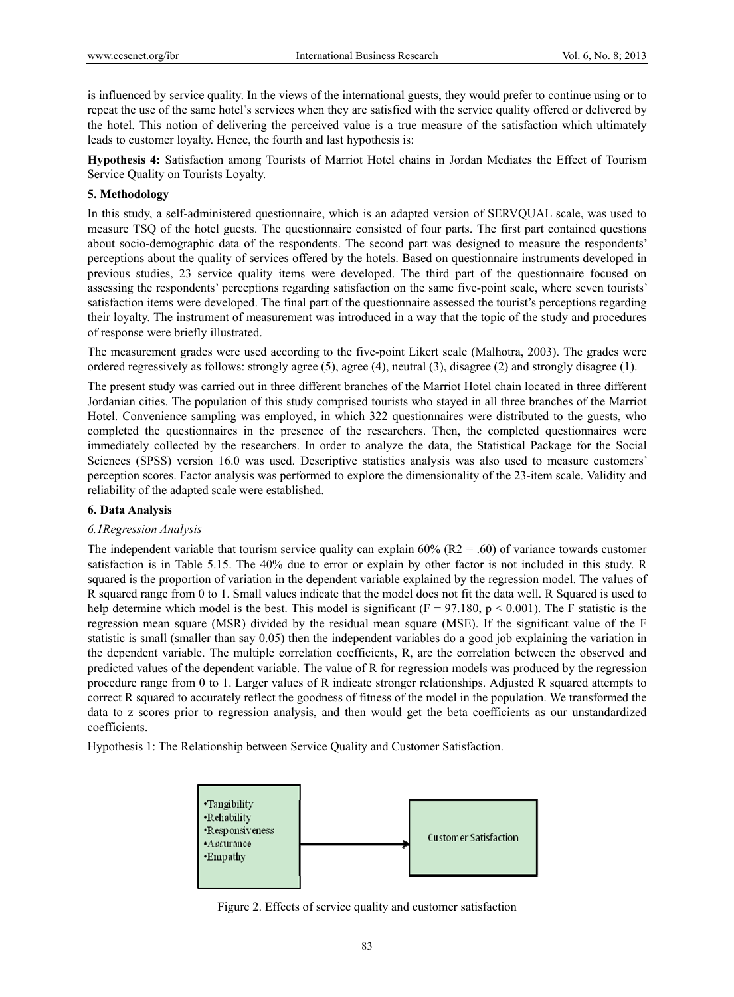is influenced by service quality. In the views of the international guests, they would prefer to continue using or to repeat the use of the same hotel's services when they are satisfied with the service quality offered or delivered by the hotel. This notion of delivering the perceived value is a true measure of the satisfaction which ultimately leads to customer loyalty. Hence, the fourth and last hypothesis is:

**Hypothesis 4:** Satisfaction among Tourists of Marriot Hotel chains in Jordan Mediates the Effect of Tourism Service Quality on Tourists Loyalty.

# **5. Methodology**

In this study, a self-administered questionnaire, which is an adapted version of SERVQUAL scale, was used to measure TSQ of the hotel guests. The questionnaire consisted of four parts. The first part contained questions about socio-demographic data of the respondents. The second part was designed to measure the respondents' perceptions about the quality of services offered by the hotels. Based on questionnaire instruments developed in previous studies, 23 service quality items were developed. The third part of the questionnaire focused on assessing the respondents' perceptions regarding satisfaction on the same five-point scale, where seven tourists' satisfaction items were developed. The final part of the questionnaire assessed the tourist's perceptions regarding their loyalty. The instrument of measurement was introduced in a way that the topic of the study and procedures of response were briefly illustrated.

The measurement grades were used according to the five-point Likert scale (Malhotra, 2003). The grades were ordered regressively as follows: strongly agree (5), agree (4), neutral (3), disagree (2) and strongly disagree (1).

The present study was carried out in three different branches of the Marriot Hotel chain located in three different Jordanian cities. The population of this study comprised tourists who stayed in all three branches of the Marriot Hotel. Convenience sampling was employed, in which 322 questionnaires were distributed to the guests, who completed the questionnaires in the presence of the researchers. Then, the completed questionnaires were immediately collected by the researchers. In order to analyze the data, the Statistical Package for the Social Sciences (SPSS) version 16.0 was used. Descriptive statistics analysis was also used to measure customers' perception scores. Factor analysis was performed to explore the dimensionality of the 23-item scale. Validity and reliability of the adapted scale were established.

## **6. Data Analysis**

## *6.1Regression Analysis*

The independent variable that tourism service quality can explain  $60\%$  (R2 = .60) of variance towards customer satisfaction is in Table 5.15. The 40% due to error or explain by other factor is not included in this study. R squared is the proportion of variation in the dependent variable explained by the regression model. The values of R squared range from 0 to 1. Small values indicate that the model does not fit the data well. R Squared is used to help determine which model is the best. This model is significant ( $F = 97.180$ ,  $p < 0.001$ ). The F statistic is the regression mean square (MSR) divided by the residual mean square (MSE). If the significant value of the F statistic is small (smaller than say 0.05) then the independent variables do a good job explaining the variation in the dependent variable. The multiple correlation coefficients, R, are the correlation between the observed and predicted values of the dependent variable. The value of R for regression models was produced by the regression procedure range from 0 to 1. Larger values of R indicate stronger relationships. Adjusted R squared attempts to correct R squared to accurately reflect the goodness of fitness of the model in the population. We transformed the data to z scores prior to regression analysis, and then would get the beta coefficients as our unstandardized coefficients.

Hypothesis 1: The Relationship between Service Quality and Customer Satisfaction.



Figure 2. Effects of service quality and customer satisfaction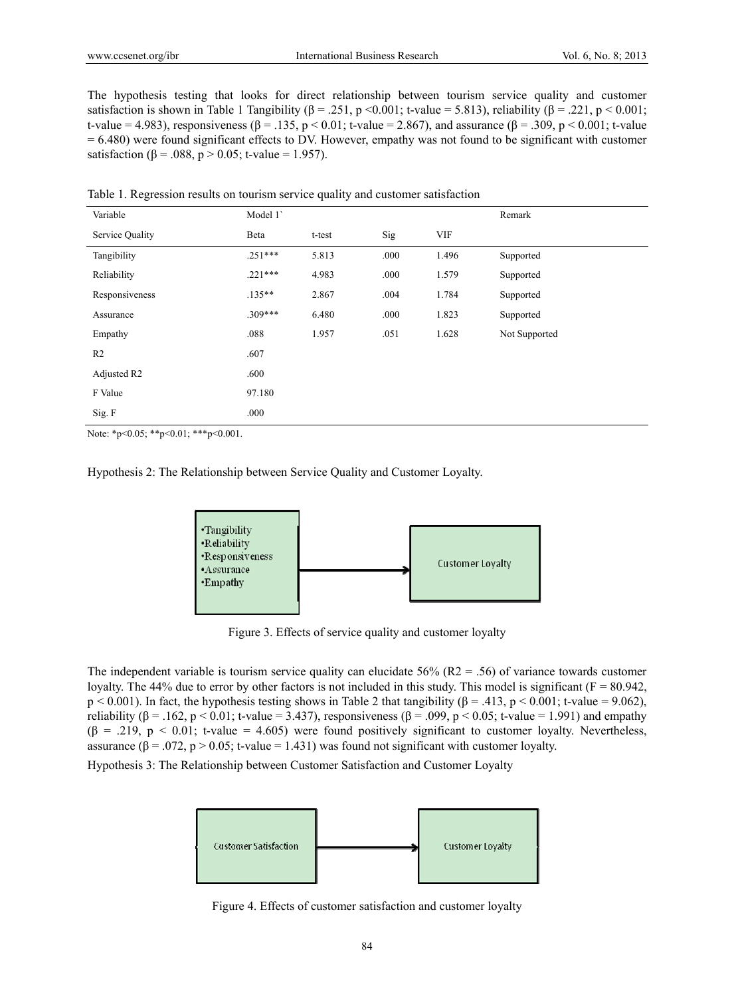The hypothesis testing that looks for direct relationship between tourism service quality and customer satisfaction is shown in Table 1 Tangibility ( $\beta = .251$ , p <0.001; t-value = 5.813), reliability ( $\beta = .221$ , p < 0.001; t-value = 4.983), responsiveness ( $\beta$  = .135, p < 0.01; t-value = 2.867), and assurance ( $\beta$  = .309, p < 0.001; t-value = 6.480) were found significant effects to DV. However, empathy was not found to be significant with customer satisfaction (β = .088, p > 0.05; t-value = 1.957).

| Variable        | Model 1   |               |               |       | Remark        |
|-----------------|-----------|---------------|---------------|-------|---------------|
| Service Quality | Beta      | t-test        | Sig           | VIF   |               |
| Tangibility     | $.251***$ | 5.813         | .000          | 1.496 | Supported     |
| Reliability     | $.221***$ | 4.983<br>.000 |               | 1.579 | Supported     |
| Responsiveness  | $.135***$ | 2.867         | 1.784<br>.004 |       | Supported     |
| Assurance       | $.309***$ | 6.480         | .000          | 1.823 | Supported     |
| Empathy         | .088      | 1.957         | .051          | 1.628 | Not Supported |
| R <sub>2</sub>  | .607      |               |               |       |               |
| Adjusted R2     | .600      |               |               |       |               |
| F Value         | 97.180    |               |               |       |               |
| Sig. F          | .000      |               |               |       |               |

Table 1. Regression results on tourism service quality and customer satisfaction

Note: \*p<0.05; \*\*p<0.01; \*\*\*p<0.001.

Hypothesis 2: The Relationship between Service Quality and Customer Loyalty.



Figure 3. Effects of service quality and customer loyalty

The independent variable is tourism service quality can elucidate  $56\%$  (R2 = .56) of variance towards customer loyalty. The 44% due to error by other factors is not included in this study. This model is significant ( $F = 80.942$ ,  $p < 0.001$ ). In fact, the hypothesis testing shows in Table 2 that tangibility ( $\beta = .413$ ,  $p < 0.001$ ; t-value = 9.062), reliability (β = .162, p < 0.01; t-value = 3.437), responsiveness (β = .099, p < 0.05; t-value = 1.991) and empathy  $(\beta = .219, p < 0.01$ ; t-value = 4.605) were found positively significant to customer loyalty. Nevertheless, assurance  $(\beta = .072, p > 0.05; t-value = 1.431)$  was found not significant with customer loyalty.

Hypothesis 3: The Relationship between Customer Satisfaction and Customer Loyalty



Figure 4. Effects of customer satisfaction and customer loyalty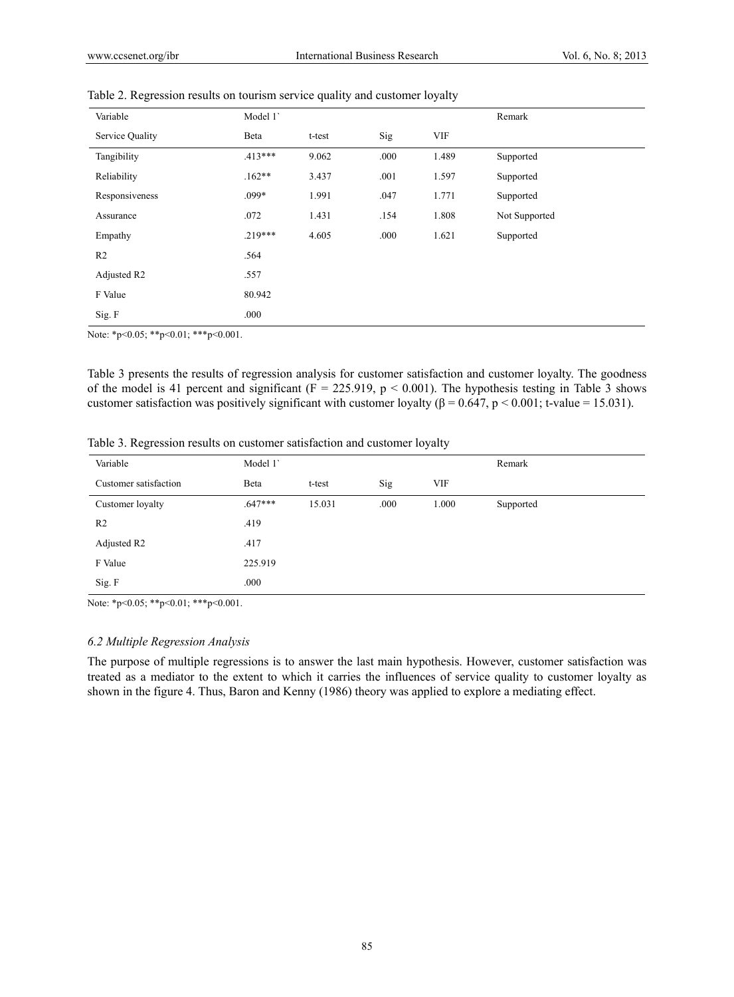| Variable        | Model 1   |        |      |            | Remark        |
|-----------------|-----------|--------|------|------------|---------------|
| Service Quality | Beta      | t-test | Sig  | <b>VIF</b> |               |
| Tangibility     | $.413***$ | 9.062  | .000 | 1.489      | Supported     |
| Reliability     | $.162**$  | 3.437  | .001 | 1.597      | Supported     |
| Responsiveness  | .099*     | 1.991  | .047 | 1.771      | Supported     |
| Assurance       | .072      | 1.431  | .154 | 1.808      | Not Supported |
| Empathy         | $.219***$ | 4.605  | .000 | 1.621      | Supported     |
| R <sub>2</sub>  | .564      |        |      |            |               |
| Adjusted R2     | .557      |        |      |            |               |
| F Value         | 80.942    |        |      |            |               |
| Sig. F          | .000      |        |      |            |               |
|                 |           |        |      |            |               |

Table 2. Regression results on tourism service quality and customer loyalty

Note: \*p<0.05; \*\*p<0.01; \*\*\*p<0.001.

Table 3 presents the results of regression analysis for customer satisfaction and customer loyalty. The goodness of the model is 41 percent and significant ( $F = 225.919$ ,  $p < 0.001$ ). The hypothesis testing in Table 3 shows customer satisfaction was positively significant with customer loyalty ( $\beta = 0.647$ , p < 0.001; t-value = 15.031).

Table 3. Regression results on customer satisfaction and customer loyalty

| Variable              | Model 1   |        |      |            | Remark    |
|-----------------------|-----------|--------|------|------------|-----------|
| Customer satisfaction | Beta      | t-test | Sig  | <b>VIF</b> |           |
| Customer loyalty      | $.647***$ | 15.031 | .000 | 1.000      | Supported |
| R <sub>2</sub>        | .419      |        |      |            |           |
| Adjusted R2           | .417      |        |      |            |           |
| F Value               | 225.919   |        |      |            |           |
| Sig. F                | .000      |        |      |            |           |

Note: \*p<0.05; \*\*p<0.01; \*\*\*p<0.001.

## *6.2 Multiple Regression Analysis*

The purpose of multiple regressions is to answer the last main hypothesis. However, customer satisfaction was treated as a mediator to the extent to which it carries the influences of service quality to customer loyalty as shown in the figure 4. Thus, Baron and Kenny (1986) theory was applied to explore a mediating effect.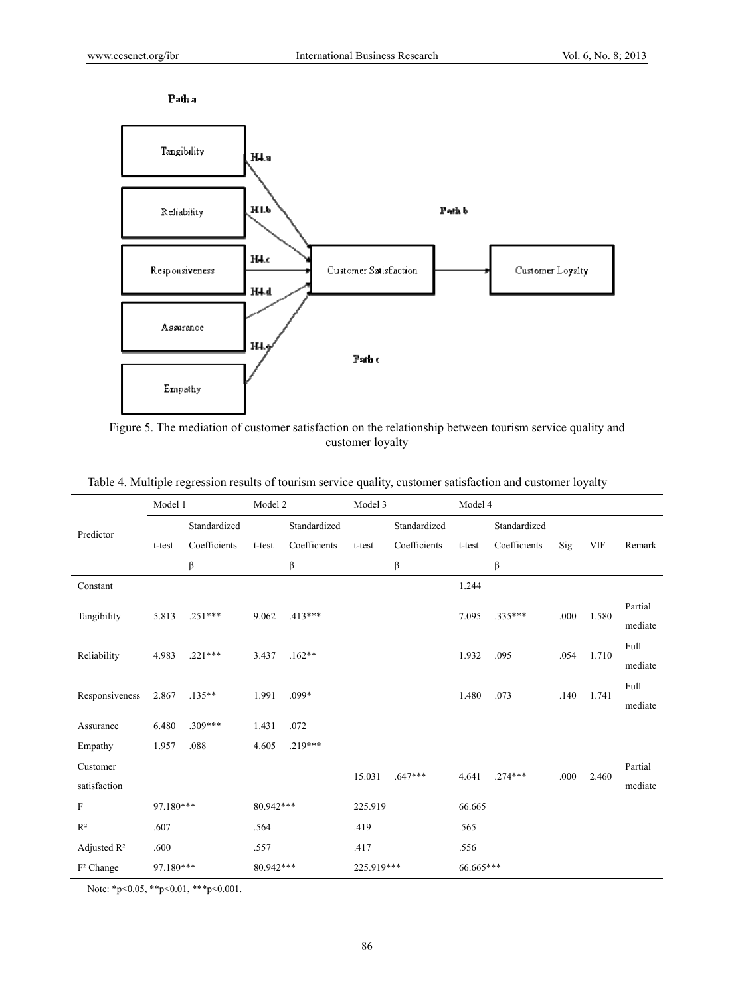



Figure 5. The mediation of customer satisfaction on the relationship between tourism service quality and customer loyalty

|                           | Model 1   |              | Model 2   |              | Model 3    |              | Model 4   |              |      |            |         |
|---------------------------|-----------|--------------|-----------|--------------|------------|--------------|-----------|--------------|------|------------|---------|
| Predictor                 |           | Standardized |           | Standardized |            | Standardized |           | Standardized |      |            |         |
|                           | t-test    | Coefficients | t-test    | Coefficients | t-test     | Coefficients | t-test    | Coefficients | Sig  | <b>VIF</b> | Remark  |
|                           |           | β            |           | β            |            | β            |           | β            |      |            |         |
| Constant                  |           |              |           |              |            |              | 1.244     |              |      |            |         |
| Tangibility               | 5.813     | $.251***$    | 9.062     | $.413***$    |            |              | 7.095     | $.335***$    | .000 | 1.580      | Partial |
|                           |           |              |           |              |            |              |           |              |      |            | mediate |
| Reliability               | 4.983     | $.221***$    | 3.437     | $.162**$     |            |              | 1.932     | .095         | .054 | 1.710      | Full    |
|                           |           |              |           |              |            |              |           |              |      |            | mediate |
| Responsiveness            | 2.867     | $.135***$    | 1.991     | .099*        |            |              | 1.480     | .073         | .140 | 1.741      | Full    |
|                           |           |              |           |              |            |              |           |              |      |            | mediate |
| Assurance                 | 6.480     | $.309***$    | 1.431     | .072         |            |              |           |              |      |            |         |
| Empathy                   | 1.957     | .088         | 4.605     | $.219***$    |            |              |           |              |      |            |         |
| Customer                  |           |              |           |              | 15.031     | $.647***$    | 4.641     | $.274***$    | .000 | 2.460      | Partial |
| satisfaction              |           |              |           |              |            |              |           |              |      |            | mediate |
| $\boldsymbol{\mathrm{F}}$ | 97.180*** |              | 80.942*** |              | 225.919    |              | 66.665    |              |      |            |         |
| $R^2$                     | .607      |              | .564      |              | .419       |              | .565      |              |      |            |         |
| Adjusted $R^2$            | .600      |              | .557      |              | .417       |              | .556      |              |      |            |         |
| F <sup>2</sup> Change     | 97.180*** |              | 80.942*** |              | 225.919*** |              | 66.665*** |              |      |            |         |

|  |  |  |  | Table 4. Multiple regression results of tourism service quality, customer satisfaction and customer loyalty |  |
|--|--|--|--|-------------------------------------------------------------------------------------------------------------|--|
|  |  |  |  |                                                                                                             |  |

Note: \*p<0.05, \*\*p<0.01, \*\*\*p<0.001.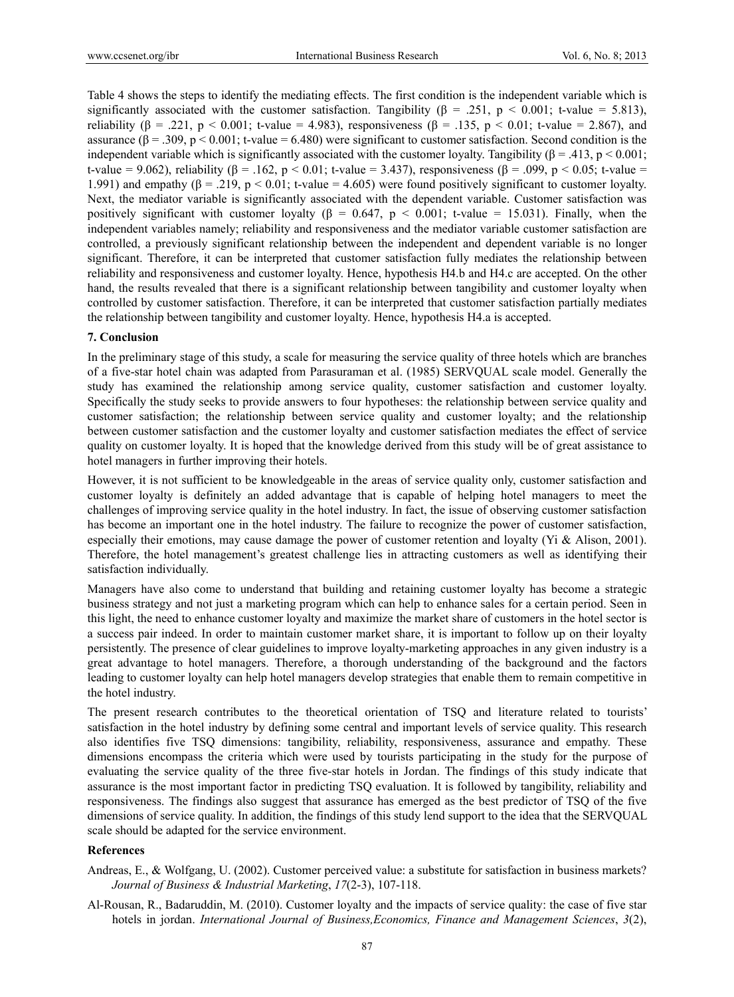Table 4 shows the steps to identify the mediating effects. The first condition is the independent variable which is significantly associated with the customer satisfaction. Tangibility ( $\beta$  = .251, p < 0.001; t-value = 5.813), reliability (β = .221, p < 0.001; t-value = 4.983), responsiveness (β = .135, p < 0.01; t-value = 2.867), and assurance  $(\beta = .309, p < 0.001; t-value = 6.480)$  were significant to customer satisfaction. Second condition is the independent variable which is significantly associated with the customer loyalty. Tangibility ( $\beta = .413$ ,  $p < 0.001$ ; t-value = 9.062), reliability (β = .162, p < 0.01; t-value = 3.437), responsiveness (β = .099, p < 0.05; t-value = 1.991) and empathy (β = .219, p < 0.01; t-value = 4.605) were found positively significant to customer loyalty. Next, the mediator variable is significantly associated with the dependent variable. Customer satisfaction was positively significant with customer loyalty ( $\beta = 0.647$ ,  $p < 0.001$ ; t-value = 15.031). Finally, when the independent variables namely; reliability and responsiveness and the mediator variable customer satisfaction are controlled, a previously significant relationship between the independent and dependent variable is no longer significant. Therefore, it can be interpreted that customer satisfaction fully mediates the relationship between reliability and responsiveness and customer loyalty. Hence, hypothesis H4.b and H4.c are accepted. On the other hand, the results revealed that there is a significant relationship between tangibility and customer loyalty when controlled by customer satisfaction. Therefore, it can be interpreted that customer satisfaction partially mediates the relationship between tangibility and customer loyalty. Hence, hypothesis H4.a is accepted.

#### **7. Conclusion**

In the preliminary stage of this study, a scale for measuring the service quality of three hotels which are branches of a five-star hotel chain was adapted from Parasuraman et al. (1985) SERVQUAL scale model. Generally the study has examined the relationship among service quality, customer satisfaction and customer loyalty. Specifically the study seeks to provide answers to four hypotheses: the relationship between service quality and customer satisfaction; the relationship between service quality and customer loyalty; and the relationship between customer satisfaction and the customer loyalty and customer satisfaction mediates the effect of service quality on customer loyalty. It is hoped that the knowledge derived from this study will be of great assistance to hotel managers in further improving their hotels.

However, it is not sufficient to be knowledgeable in the areas of service quality only, customer satisfaction and customer loyalty is definitely an added advantage that is capable of helping hotel managers to meet the challenges of improving service quality in the hotel industry. In fact, the issue of observing customer satisfaction has become an important one in the hotel industry. The failure to recognize the power of customer satisfaction, especially their emotions, may cause damage the power of customer retention and loyalty (Yi & Alison, 2001). Therefore, the hotel management's greatest challenge lies in attracting customers as well as identifying their satisfaction individually.

Managers have also come to understand that building and retaining customer loyalty has become a strategic business strategy and not just a marketing program which can help to enhance sales for a certain period. Seen in this light, the need to enhance customer loyalty and maximize the market share of customers in the hotel sector is a success pair indeed. In order to maintain customer market share, it is important to follow up on their loyalty persistently. The presence of clear guidelines to improve loyalty-marketing approaches in any given industry is a great advantage to hotel managers. Therefore, a thorough understanding of the background and the factors leading to customer loyalty can help hotel managers develop strategies that enable them to remain competitive in the hotel industry.

The present research contributes to the theoretical orientation of TSQ and literature related to tourists' satisfaction in the hotel industry by defining some central and important levels of service quality. This research also identifies five TSQ dimensions: tangibility, reliability, responsiveness, assurance and empathy. These dimensions encompass the criteria which were used by tourists participating in the study for the purpose of evaluating the service quality of the three five-star hotels in Jordan. The findings of this study indicate that assurance is the most important factor in predicting TSQ evaluation. It is followed by tangibility, reliability and responsiveness. The findings also suggest that assurance has emerged as the best predictor of TSQ of the five dimensions of service quality. In addition, the findings of this study lend support to the idea that the SERVQUAL scale should be adapted for the service environment.

## **References**

- Andreas, E., & Wolfgang, U. (2002). Customer perceived value: a substitute for satisfaction in business markets? *Journal of Business & Industrial Marketing*, *17*(2-3), 107-118.
- Al-Rousan, R., Badaruddin, M. (2010). Customer loyalty and the impacts of service quality: the case of five star hotels in jordan. *International Journal of Business,Economics, Finance and Management Sciences*, *3*(2),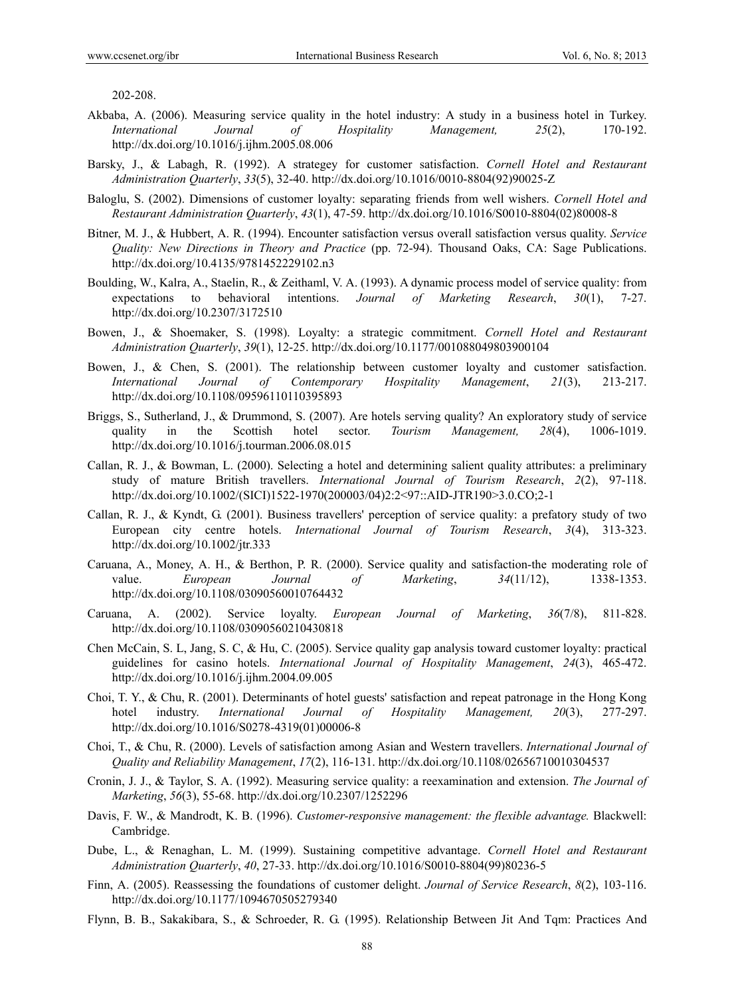202-208.

- Akbaba, A. (2006). Measuring service quality in the hotel industry: A study in a business hotel in Turkey. *International Journal of Hospitality Management, 25*(2), 170-192. http://dx.doi.org/10.1016/j.ijhm.2005.08.006
- Barsky, J., & Labagh, R. (1992). A strategey for customer satisfaction. *Cornell Hotel and Restaurant Administration Quarterly*, *33*(5), 32-40. http://dx.doi.org/10.1016/0010-8804(92)90025-Z
- Baloglu, S. (2002). Dimensions of customer loyalty: separating friends from well wishers. *Cornell Hotel and Restaurant Administration Quarterly*, *43*(1), 47-59. http://dx.doi.org/10.1016/S0010-8804(02)80008-8
- Bitner, M. J., & Hubbert, A. R. (1994). Encounter satisfaction versus overall satisfaction versus quality. *Service Quality: New Directions in Theory and Practice* (pp. 72-94). Thousand Oaks, CA: Sage Publications. http://dx.doi.org/10.4135/9781452229102.n3
- Boulding, W., Kalra, A., Staelin, R., & Zeithaml, V. A. (1993). A dynamic process model of service quality: from expectations to behavioral intentions. *Journal of Marketing Research*, *30*(1), 7-27. http://dx.doi.org/10.2307/3172510
- Bowen, J., & Shoemaker, S. (1998). Loyalty: a strategic commitment. *Cornell Hotel and Restaurant Administration Quarterly*, *39*(1), 12-25. http://dx.doi.org/10.1177/001088049803900104
- Bowen, J., & Chen, S. (2001). The relationship between customer loyalty and customer satisfaction. *International Journal of Contemporary Hospitality Management*, *21*(3), 213-217. http://dx.doi.org/10.1108/09596110110395893
- Briggs, S., Sutherland, J., & Drummond, S. (2007). Are hotels serving quality? An exploratory study of service quality in the Scottish hotel sector. *Tourism Management, 28*(4), 1006-1019. http://dx.doi.org/10.1016/j.tourman.2006.08.015
- Callan, R. J., & Bowman, L. (2000). Selecting a hotel and determining salient quality attributes: a preliminary study of mature British travellers. *International Journal of Tourism Research*, *2*(2), 97-118. http://dx.doi.org/10.1002/(SICI)1522-1970(200003/04)2:2<97::AID-JTR190>3.0.CO;2-1
- Callan, R. J., & Kyndt, G. (2001). Business travellers' perception of service quality: a prefatory study of two European city centre hotels. *International Journal of Tourism Research*, *3*(4), 313-323. http://dx.doi.org/10.1002/jtr.333
- Caruana, A., Money, A. H., & Berthon, P. R. (2000). Service quality and satisfaction-the moderating role of value. *European Journal of Marketing*, *34*(11/12), 1338-1353. http://dx.doi.org/10.1108/03090560010764432
- Caruana, A. (2002). Service loyalty. *European Journal of Marketing*, *36*(7/8), 811-828. http://dx.doi.org/10.1108/03090560210430818
- Chen McCain, S. L, Jang, S. C, & Hu, C. (2005). Service quality gap analysis toward customer loyalty: practical guidelines for casino hotels. *International Journal of Hospitality Management*, *24*(3), 465-472. http://dx.doi.org/10.1016/j.ijhm.2004.09.005
- Choi, T. Y., & Chu, R. (2001). Determinants of hotel guests' satisfaction and repeat patronage in the Hong Kong hotel industry. *International Journal of Hospitality Management, 20*(3), 277-297. http://dx.doi.org/10.1016/S0278-4319(01)00006-8
- Choi, T., & Chu, R. (2000). Levels of satisfaction among Asian and Western travellers. *International Journal of Quality and Reliability Management*, *17*(2), 116-131. http://dx.doi.org/10.1108/02656710010304537
- Cronin, J. J., & Taylor, S. A. (1992). Measuring service quality: a reexamination and extension. *The Journal of Marketing*, *56*(3), 55-68. http://dx.doi.org/10.2307/1252296
- Davis, F. W., & Mandrodt, K. B. (1996). *Customer-responsive management: the flexible advantage.* Blackwell: Cambridge.
- Dube, L., & Renaghan, L. M. (1999). Sustaining competitive advantage. *Cornell Hotel and Restaurant Administration Quarterly*, *40*, 27-33. http://dx.doi.org/10.1016/S0010-8804(99)80236-5
- Finn, A. (2005). Reassessing the foundations of customer delight. *Journal of Service Research*, *8*(2), 103-116. http://dx.doi.org/10.1177/1094670505279340
- Flynn, B. B., Sakakibara, S., & Schroeder, R. G. (1995). Relationship Between Jit And Tqm: Practices And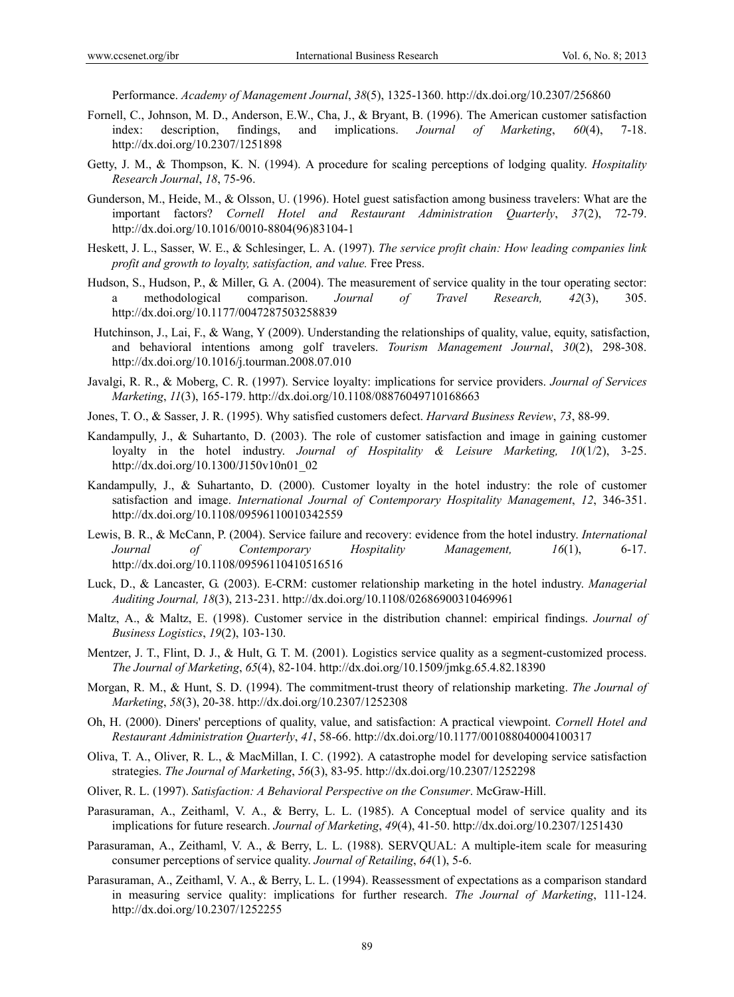Performance. *Academy of Management Journal*, *38*(5), 1325-1360. http://dx.doi.org/10.2307/256860

- Fornell, C., Johnson, M. D., Anderson, E.W., Cha, J., & Bryant, B. (1996). The American customer satisfaction index: description, findings, and implications. *Journal of Marketing*, *60*(4), 7-18. http://dx.doi.org/10.2307/1251898
- Getty, J. M., & Thompson, K. N. (1994). A procedure for scaling perceptions of lodging quality. *Hospitality Research Journal*, *18*, 75-96.
- Gunderson, M., Heide, M., & Olsson, U. (1996). Hotel guest satisfaction among business travelers: What are the important factors? *Cornell Hotel and Restaurant Administration Quarterly*, *37*(2), 72-79. http://dx.doi.org/10.1016/0010-8804(96)83104-1
- Heskett, J. L., Sasser, W. E., & Schlesinger, L. A. (1997). *The service profit chain: How leading companies link profit and growth to loyalty, satisfaction, and value.* Free Press.
- Hudson, S., Hudson, P., & Miller, G. A. (2004). The measurement of service quality in the tour operating sector: a methodological comparison. *Journal of Travel Research, 42*(3), 305. http://dx.doi.org/10.1177/0047287503258839
- Hutchinson, J., Lai, F., & Wang, Y (2009). Understanding the relationships of quality, value, equity, satisfaction, and behavioral intentions among golf travelers. *Tourism Management Journal*, *30*(2), 298-308. http://dx.doi.org/10.1016/j.tourman.2008.07.010
- Javalgi, R. R., & Moberg, C. R. (1997). Service loyalty: implications for service providers. *Journal of Services Marketing*, *11*(3), 165-179. http://dx.doi.org/10.1108/08876049710168663
- Jones, T. O., & Sasser, J. R. (1995). Why satisfied customers defect. *Harvard Business Review*, *73*, 88-99.
- Kandampully, J., & Suhartanto, D. (2003). The role of customer satisfaction and image in gaining customer loyalty in the hotel industry. *Journal of Hospitality & Leisure Marketing, 10*(1/2), 3-25. http://dx.doi.org/10.1300/J150v10n01\_02
- Kandampully, J., & Suhartanto, D. (2000). Customer loyalty in the hotel industry: the role of customer satisfaction and image. *International Journal of Contemporary Hospitality Management*, *12*, 346-351. http://dx.doi.org/10.1108/09596110010342559
- Lewis, B. R., & McCann, P. (2004). Service failure and recovery: evidence from the hotel industry. *International Journal of Contemporary Hospitality Management, 16*(1), 6-17. http://dx.doi.org/10.1108/09596110410516516
- Luck, D., & Lancaster, G. (2003). E-CRM: customer relationship marketing in the hotel industry. *Managerial Auditing Journal, 18*(3), 213-231. http://dx.doi.org/10.1108/02686900310469961
- Maltz, A., & Maltz, E. (1998). Customer service in the distribution channel: empirical findings. *Journal of Business Logistics*, *19*(2), 103-130.
- Mentzer, J. T., Flint, D. J., & Hult, G. T. M. (2001). Logistics service quality as a segment-customized process. *The Journal of Marketing*, *65*(4), 82-104. http://dx.doi.org/10.1509/jmkg.65.4.82.18390
- Morgan, R. M., & Hunt, S. D. (1994). The commitment-trust theory of relationship marketing. *The Journal of Marketing*, *58*(3), 20-38. http://dx.doi.org/10.2307/1252308
- Oh, H. (2000). Diners' perceptions of quality, value, and satisfaction: A practical viewpoint. *Cornell Hotel and Restaurant Administration Quarterly*, *41*, 58-66. http://dx.doi.org/10.1177/001088040004100317
- Oliva, T. A., Oliver, R. L., & MacMillan, I. C. (1992). A catastrophe model for developing service satisfaction strategies. *The Journal of Marketing*, *56*(3), 83-95. http://dx.doi.org/10.2307/1252298
- Oliver, R. L. (1997). *Satisfaction: A Behavioral Perspective on the Consumer*. McGraw-Hill.
- Parasuraman, A., Zeithaml, V. A., & Berry, L. L. (1985). A Conceptual model of service quality and its implications for future research. *Journal of Marketing*, *49*(4), 41-50. http://dx.doi.org/10.2307/1251430
- Parasuraman, A., Zeithaml, V. A., & Berry, L. L. (1988). SERVQUAL: A multiple-item scale for measuring consumer perceptions of service quality. *Journal of Retailing*, *64*(1), 5-6.
- Parasuraman, A., Zeithaml, V. A., & Berry, L. L. (1994). Reassessment of expectations as a comparison standard in measuring service quality: implications for further research. *The Journal of Marketing*, 111-124. http://dx.doi.org/10.2307/1252255